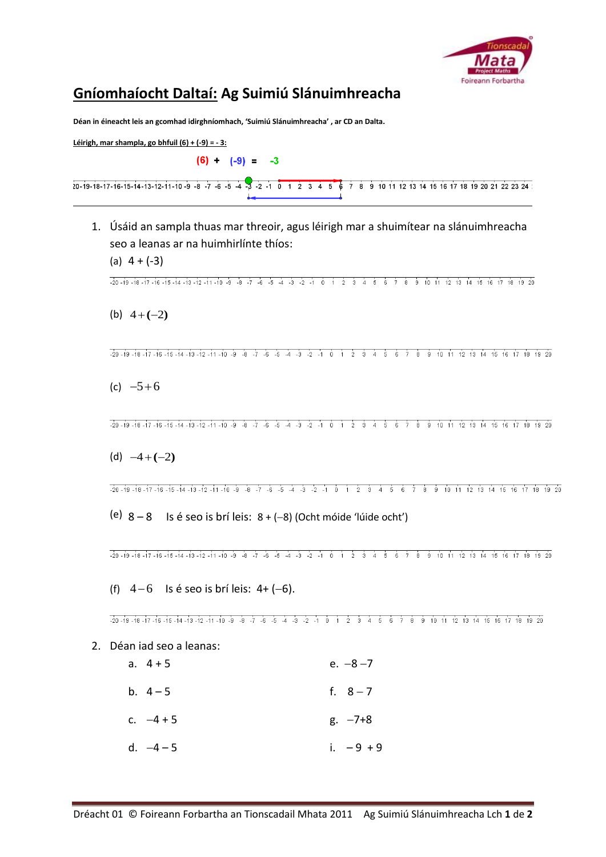

## **Gníomhaíocht Daltaí: Ag Suimiú Slánuimhreacha**

**Déan in éineacht leis an gcomhad idirghníomhach, 'Suimiú Slánuimhreacha' , ar CD an Dalta.**

**Léirigh, mar shampla, go bhfuil (6) + (-9) = - 3:**

 $(6) - (-9) = -3$ 

|  | $20-19-18-17-16-15-14-13-12-11-10-9-8-7-6-5-4-3-2-10$ $1\ 2\ 3\ 4\ 5\ 6\ 7\ 8\ 9\ 10\ 11\ 12\ 13\ 14\ 15\ 16\ 17\ 18\ 19\ 20\ 21\ 22\ 23\ 24$ |  |
|--|-----------------------------------------------------------------------------------------------------------------------------------------------|--|
|  |                                                                                                                                               |  |

1. Úsáid an sampla thuas mar threoir, agus léirigh mar a shuimítear na slánuimhreacha seo a leanas ar na huimhirlínte thíos:

(a)  $4 + (-3)$ 

 $\frac{1}{20} - \frac{1}{19} - \frac{1}{18} - \frac{1}{19} - \frac{1}{19} - \frac{1}{19} - \frac{1}{19} - \frac{1}{19} - \frac{1}{19} - \frac{1}{19} - \frac{1}{19} - \frac{1}{19} - \frac{1}{19} - \frac{1}{19} - \frac{1}{19} - \frac{1}{19} - \frac{1}{19} - \frac{1}{19} - \frac{1}{19} - \frac{1}{19} - \frac{1}{19} - \frac{1}{19} - \frac{1}{19} - \frac{1}{19} - \frac{1$ 

(b)  $4+(-2)$ 

 $\frac{1}{20} - \frac{19}{19} - \frac{18}{19} - \frac{17}{19} - \frac{16}{19} - \frac{1}{19} - \frac{1}{19} - \frac{1}{19} - \frac{1}{19} - \frac{1}{19} - \frac{1}{19} - \frac{1}{19} - \frac{1}{19} - \frac{1}{19} - \frac{1}{19} - \frac{1}{19} - \frac{1}{19} - \frac{1}{19} - \frac{1}{19} - \frac{1}{19} - \frac{1}{19} - \frac{1}{19} - \frac{1}{19} - \frac{1}{19} -$ 

(c)  $-5+6$ 

 $\frac{1}{20} - 19 - 18 - 17 - 16 - 15 - 14 - 13 - 12 - 11 - 10 - 9 - 8 - 7 - 6 - 5 - 4 - 3 - 2 - 1 0 1 2 3 4 5 6 7 8 9 10 11 12 13 14 15 16 17 18 19 20$ 

 $(d) -4 + (-2)$ 

 $-20 - 19 - 18 - 17 - 16 - 15 - 14 - 13 - 12 - 11 - 10 - 9 - 8 - 7 - 6 - 5 - 4 - 3 - 2 - 1 0 1 2 3 4 5 6 7 8 9 10 11 12 13 14 15 16 17 18 19 20$ 

(e)  $8 - 8$  Is é seo is brí leis:  $8 + (-8)$  (Ocht móide 'lúide ocht')

 $\frac{1}{20} - 19 - 18 - 17 - 16 - 15 - 14 - 13 - 12 - 11 - 10 - 9 - 8 - 7 - 6 - 5 - 4 - 3 - 2 - 1 0 1 2 3 4 5 6 7 8 9 10 11 12 13 14 15 16 17 18 19 20$ 

(f)  $4-6$  Is é seo is brí leis:  $4+(-6)$ .

 $-20 - 19 - 18 - 17 - 16 - 15 - 14 - 13 - 12 - 11 - 10 - 9 - 8 - 7 - 6 - 5 - 4 - 3 - 2 - 1 0 1 2 3 4 5 6 7 8 9 10 11 12 13 14 15 16 17 18 19 20$ 

- 2. Déan iad seo a leanas:
	- a.  $4 + 5$  e.  $-8 7$ b.  $4-5$  f.  $8-7$ c.  $-4 + 5$  g.  $-7+8$ d.  $-4-5$  i.  $-9+9$